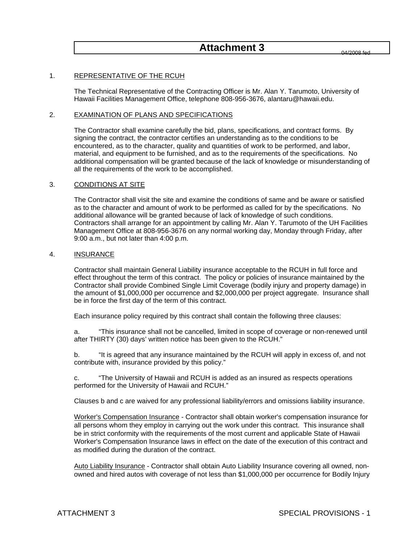# **Attachment 3**

#### 1. REPRESENTATIVE OF THE RCUH

 The Technical Representative of the Contracting Officer is Mr. Alan Y. Tarumoto, University of Hawaii Facilities Management Office, telephone 808-956-3676, alantaru@hawaii.edu.

#### 2. EXAMINATION OF PLANS AND SPECIFICATIONS

 The Contractor shall examine carefully the bid, plans, specifications, and contract forms. By signing the contract, the contractor certifies an understanding as to the conditions to be encountered, as to the character, quality and quantities of work to be performed, and labor, material, and equipment to be furnished, and as to the requirements of the specifications. No additional compensation will be granted because of the lack of knowledge or misunderstanding of all the requirements of the work to be accomplished.

### 3. CONDITIONS AT SITE

 The Contractor shall visit the site and examine the conditions of same and be aware or satisfied as to the character and amount of work to be performed as called for by the specifications. No additional allowance will be granted because of lack of knowledge of such conditions. Contractors shall arrange for an appointment by calling Mr. Alan Y. Tarumoto of the UH Facilities Management Office at 808-956-3676 on any normal working day, Monday through Friday, after 9:00 a.m., but not later than 4:00 p.m.

#### 4. INSURANCE

 Contractor shall maintain General Liability insurance acceptable to the RCUH in full force and effect throughout the term of this contract. The policy or policies of insurance maintained by the Contractor shall provide Combined Single Limit Coverage (bodily injury and property damage) in the amount of \$1,000,000 per occurrence and \$2,000,000 per project aggregate. Insurance shall be in force the first day of the term of this contract.

Each insurance policy required by this contract shall contain the following three clauses:

 a. "This insurance shall not be cancelled, limited in scope of coverage or non-renewed until after THIRTY (30) days' written notice has been given to the RCUH."

 b. "It is agreed that any insurance maintained by the RCUH will apply in excess of, and not contribute with, insurance provided by this policy."

 c. "The University of Hawaii and RCUH is added as an insured as respects operations performed for the University of Hawaii and RCUH."

Clauses b and c are waived for any professional liability/errors and omissions liability insurance.

Worker's Compensation Insurance - Contractor shall obtain worker's compensation insurance for all persons whom they employ in carrying out the work under this contract. This insurance shall be in strict conformity with the requirements of the most current and applicable State of Hawaii Worker's Compensation Insurance laws in effect on the date of the execution of this contract and as modified during the duration of the contract.

Auto Liability Insurance - Contractor shall obtain Auto Liability Insurance covering all owned, nonowned and hired autos with coverage of not less than \$1,000,000 per occurrence for Bodily Injury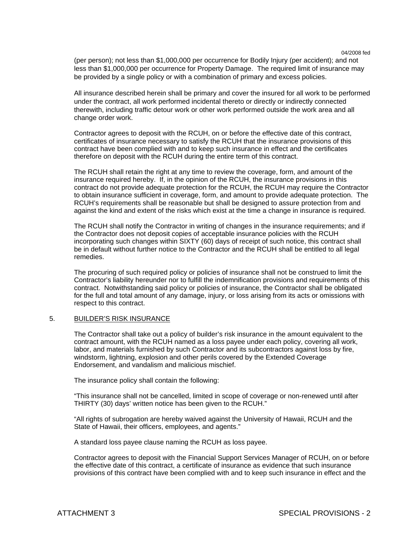(per person); not less than \$1,000,000 per occurrence for Bodily Injury (per accident); and not less than \$1,000,000 per occurrence for Property Damage. The required limit of insurance may be provided by a single policy or with a combination of primary and excess policies.

All insurance described herein shall be primary and cover the insured for all work to be performed under the contract, all work performed incidental thereto or directly or indirectly connected therewith, including traffic detour work or other work performed outside the work area and all change order work.

 Contractor agrees to deposit with the RCUH, on or before the effective date of this contract, certificates of insurance necessary to satisfy the RCUH that the insurance provisions of this contract have been complied with and to keep such insurance in effect and the certificates therefore on deposit with the RCUH during the entire term of this contract.

 The RCUH shall retain the right at any time to review the coverage, form, and amount of the insurance required hereby. If, in the opinion of the RCUH, the insurance provisions in this contract do not provide adequate protection for the RCUH, the RCUH may require the Contractor to obtain insurance sufficient in coverage, form, and amount to provide adequate protection. The RCUH's requirements shall be reasonable but shall be designed to assure protection from and against the kind and extent of the risks which exist at the time a change in insurance is required.

 The RCUH shall notify the Contractor in writing of changes in the insurance requirements; and if the Contractor does not deposit copies of acceptable insurance policies with the RCUH incorporating such changes within SIXTY (60) days of receipt of such notice, this contract shall be in default without further notice to the Contractor and the RCUH shall be entitled to all legal remedies.

 The procuring of such required policy or policies of insurance shall not be construed to limit the Contractor's liability hereunder nor to fulfill the indemnification provisions and requirements of this contract. Notwithstanding said policy or policies of insurance, the Contractor shall be obligated for the full and total amount of any damage, injury, or loss arising from its acts or omissions with respect to this contract.

#### 5. BUILDER'S RISK INSURANCE

 The Contractor shall take out a policy of builder's risk insurance in the amount equivalent to the contract amount, with the RCUH named as a loss payee under each policy, covering all work, labor, and materials furnished by such Contractor and its subcontractors against loss by fire, windstorm, lightning, explosion and other perils covered by the Extended Coverage Endorsement, and vandalism and malicious mischief.

The insurance policy shall contain the following:

 "This insurance shall not be cancelled, limited in scope of coverage or non-renewed until after THIRTY (30) days' written notice has been given to the RCUH."

 "All rights of subrogation are hereby waived against the University of Hawaii, RCUH and the State of Hawaii, their officers, employees, and agents."

A standard loss payee clause naming the RCUH as loss payee.

 Contractor agrees to deposit with the Financial Support Services Manager of RCUH, on or before the effective date of this contract, a certificate of insurance as evidence that such insurance provisions of this contract have been complied with and to keep such insurance in effect and the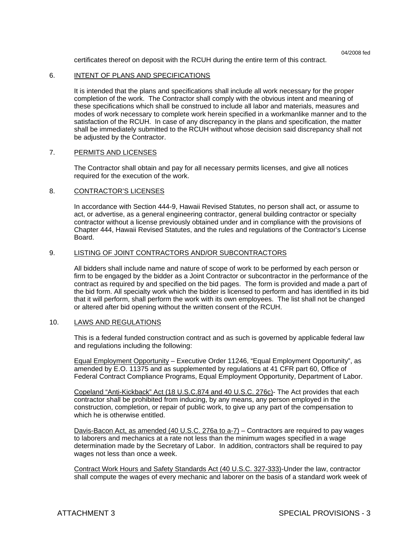certificates thereof on deposit with the RCUH during the entire term of this contract.

#### 6. INTENT OF PLANS AND SPECIFICATIONS

 It is intended that the plans and specifications shall include all work necessary for the proper completion of the work. The Contractor shall comply with the obvious intent and meaning of these specifications which shall be construed to include all labor and materials, measures and modes of work necessary to complete work herein specified in a workmanlike manner and to the satisfaction of the RCUH. In case of any discrepancy in the plans and specification, the matter shall be immediately submitted to the RCUH without whose decision said discrepancy shall not be adjusted by the Contractor.

#### 7. PERMITS AND LICENSES

 The Contractor shall obtain and pay for all necessary permits licenses, and give all notices required for the execution of the work.

#### 8. CONTRACTOR'S LICENSES

 In accordance with Section 444-9, Hawaii Revised Statutes, no person shall act, or assume to act, or advertise, as a general engineering contractor, general building contractor or specialty contractor without a license previously obtained under and in compliance with the provisions of Chapter 444, Hawaii Revised Statutes, and the rules and regulations of the Contractor's License Board.

#### 9. LISTING OF JOINT CONTRACTORS AND/OR SUBCONTRACTORS

 All bidders shall include name and nature of scope of work to be performed by each person or firm to be engaged by the bidder as a Joint Contractor or subcontractor in the performance of the contract as required by and specified on the bid pages. The form is provided and made a part of the bid form. All specialty work which the bidder is licensed to perform and has identified in its bid that it will perform, shall perform the work with its own employees. The list shall not be changed or altered after bid opening without the written consent of the RCUH.

#### 10. LAWS AND REGULATIONS

 This is a federal funded construction contract and as such is governed by applicable federal law and regulations including the following:

 Equal Employment Opportunity – Executive Order 11246, "Equal Employment Opportunity", as amended by E.O. 11375 and as supplemented by regulations at 41 CFR part 60, Office of Federal Contract Compliance Programs, Equal Employment Opportunity, Department of Labor.

 Copeland "Anti-Kickback" Act (18 U.S.C.874 and 40 U.S.C. 276c)- The Act provides that each contractor shall be prohibited from inducing, by any means, any person employed in the construction, completion, or repair of public work, to give up any part of the compensation to which he is otherwise entitled.

Davis-Bacon Act, as amended (40 U.S.C. 276a to a-7) - Contractors are required to pay wages to laborers and mechanics at a rate not less than the minimum wages specified in a wage determination made by the Secretary of Labor. In addition, contractors shall be required to pay wages not less than once a week.

 Contract Work Hours and Safety Standards Act (40 U.S.C. 327-333)-Under the law, contractor shall compute the wages of every mechanic and laborer on the basis of a standard work week of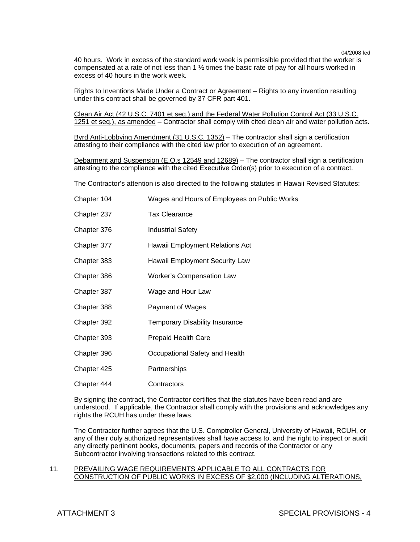40 hours. Work in excess of the standard work week is permissible provided that the worker is compensated at a rate of not less than 1 ½ times the basic rate of pay for all hours worked in excess of 40 hours in the work week.

 Rights to Inventions Made Under a Contract or Agreement – Rights to any invention resulting under this contract shall be governed by 37 CFR part 401.

 Clean Air Act (42 U.S.C. 7401 et seq.) and the Federal Water Pollution Control Act (33 U.S.C. 1251 et seq.), as amended – Contractor shall comply with cited clean air and water pollution acts.

Byrd Anti-Lobbying Amendment (31 U.S.C. 1352) - The contractor shall sign a certification attesting to their compliance with the cited law prior to execution of an agreement.

Debarment and Suspension (E.O.s 12549 and 12689) - The contractor shall sign a certification attesting to the compliance with the cited Executive Order(s) prior to execution of a contract.

The Contractor's attention is also directed to the following statutes in Hawaii Revised Statutes:

| Chapter 104 | Wages and Hours of Employees on Public Works |
|-------------|----------------------------------------------|
| Chapter 237 | <b>Tax Clearance</b>                         |
| Chapter 376 | Industrial Safety                            |
| Chapter 377 | Hawaii Employment Relations Act              |
| Chapter 383 | Hawaii Employment Security Law               |
| Chapter 386 | <b>Worker's Compensation Law</b>             |
| Chapter 387 | Wage and Hour Law                            |
| Chapter 388 | Payment of Wages                             |
| Chapter 392 | <b>Temporary Disability Insurance</b>        |
| Chapter 393 | Prepaid Health Care                          |
| Chapter 396 | Occupational Safety and Health               |
| Chapter 425 | Partnerships                                 |
| Chapter 444 | Contractors                                  |

 By signing the contract, the Contractor certifies that the statutes have been read and are understood. If applicable, the Contractor shall comply with the provisions and acknowledges any rights the RCUH has under these laws.

 The Contractor further agrees that the U.S. Comptroller General, University of Hawaii, RCUH, or any of their duly authorized representatives shall have access to, and the right to inspect or audit any directly pertinent books, documents, papers and records of the Contractor or any Subcontractor involving transactions related to this contract.

#### 11. PREVAILING WAGE REQUIREMENTS APPLICABLE TO ALL CONTRACTS FOR CONSTRUCTION OF PUBLIC WORKS IN EXCESS OF \$2,000 (INCLUDING ALTERATIONS,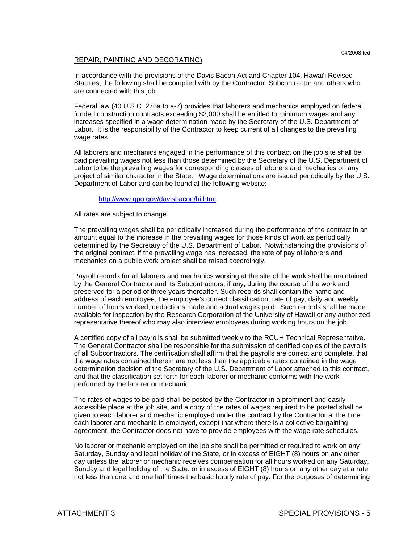### REPAIR, PAINTING AND DECORATING)

 In accordance with the provisions of the Davis Bacon Act and Chapter 104, Hawai'i Revised Statutes, the following shall be complied with by the Contractor, Subcontractor and others who are connected with this job.

 Federal law (40 U.S.C. 276a to a-7) provides that laborers and mechanics employed on federal funded construction contracts exceeding \$2,000 shall be entitled to minimum wages and any increases specified in a wage determination made by the Secretary of the U.S. Department of Labor. It is the responsibility of the Contractor to keep current of all changes to the prevailing wage rates.

 All laborers and mechanics engaged in the performance of this contract on the job site shall be paid prevailing wages not less than those determined by the Secretary of the U.S. Department of Labor to be the prevailing wages for corresponding classes of laborers and mechanics on any project of similar character in the State. Wage determinations are issued periodically by the U.S. Department of Labor and can be found at the following website:

#### http://www.gpo.gov/davisbacon/hi.html.

All rates are subject to change.

 The prevailing wages shall be periodically increased during the performance of the contract in an amount equal to the increase in the prevailing wages for those kinds of work as periodically determined by the Secretary of the U.S. Department of Labor. Notwithstanding the provisions of the original contract, if the prevailing wage has increased, the rate of pay of laborers and mechanics on a public work project shall be raised accordingly.

 Payroll records for all laborers and mechanics working at the site of the work shall be maintained by the General Contractor and its Subcontractors, if any, during the course of the work and preserved for a period of three years thereafter. Such records shall contain the name and address of each employee, the employee's correct classification, rate of pay, daily and weekly number of hours worked, deductions made and actual wages paid. Such records shall be made available for inspection by the Research Corporation of the University of Hawaii or any authorized representative thereof who may also interview employees during working hours on the job.

 A certified copy of all payrolls shall be submitted weekly to the RCUH Technical Representative. The General Contractor shall be responsible for the submission of certified copies of the payrolls of all Subcontractors. The certification shall affirm that the payrolls are correct and complete, that the wage rates contained therein are not less than the applicable rates contained in the wage determination decision of the Secretary of the U.S. Department of Labor attached to this contract, and that the classification set forth for each laborer or mechanic conforms with the work performed by the laborer or mechanic.

 The rates of wages to be paid shall be posted by the Contractor in a prominent and easily accessible place at the job site, and a copy of the rates of wages required to be posted shall be given to each laborer and mechanic employed under the contract by the Contractor at the time each laborer and mechanic is employed, except that where there is a collective bargaining agreement, the Contractor does not have to provide employees with the wage rate schedules.

 No laborer or mechanic employed on the job site shall be permitted or required to work on any Saturday, Sunday and legal holiday of the State, or in excess of EIGHT (8) hours on any other day unless the laborer or mechanic receives compensation for all hours worked on any Saturday, Sunday and legal holiday of the State, or in excess of EIGHT (8) hours on any other day at a rate not less than one and one half times the basic hourly rate of pay. For the purposes of determining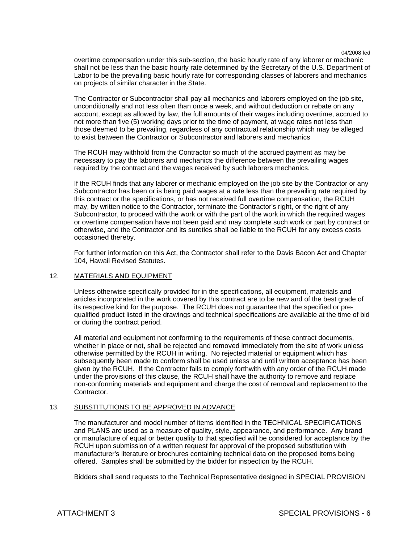overtime compensation under this sub-section, the basic hourly rate of any laborer or mechanic shall not be less than the basic hourly rate determined by the Secretary of the U.S. Department of Labor to be the prevailing basic hourly rate for corresponding classes of laborers and mechanics on projects of similar character in the State.

 The Contractor or Subcontractor shall pay all mechanics and laborers employed on the job site, unconditionally and not less often than once a week, and without deduction or rebate on any account, except as allowed by law, the full amounts of their wages including overtime, accrued to not more than five (5) working days prior to the time of payment, at wage rates not less than those deemed to be prevailing, regardless of any contractual relationship which may be alleged to exist between the Contractor or Subcontractor and laborers and mechanics

 The RCUH may withhold from the Contractor so much of the accrued payment as may be necessary to pay the laborers and mechanics the difference between the prevailing wages required by the contract and the wages received by such laborers mechanics.

 If the RCUH finds that any laborer or mechanic employed on the job site by the Contractor or any Subcontractor has been or is being paid wages at a rate less than the prevailing rate required by this contract or the specifications, or has not received full overtime compensation, the RCUH may, by written notice to the Contractor, terminate the Contractor's right, or the right of any Subcontractor, to proceed with the work or with the part of the work in which the required wages or overtime compensation have not been paid and may complete such work or part by contract or otherwise, and the Contractor and its sureties shall be liable to the RCUH for any excess costs occasioned thereby.

 For further information on this Act, the Contractor shall refer to the Davis Bacon Act and Chapter 104, Hawaii Revised Statutes.

### 12. MATERIALS AND EQUIPMENT

 Unless otherwise specifically provided for in the specifications, all equipment, materials and articles incorporated in the work covered by this contract are to be new and of the best grade of its respective kind for the purpose. The RCUH does not guarantee that the specified or prequalified product listed in the drawings and technical specifications are available at the time of bid or during the contract period.

 All material and equipment not conforming to the requirements of these contract documents, whether in place or not, shall be rejected and removed immediately from the site of work unless otherwise permitted by the RCUH in writing. No rejected material or equipment which has subsequently been made to conform shall be used unless and until written acceptance has been given by the RCUH. If the Contractor fails to comply forthwith with any order of the RCUH made under the provisions of this clause, the RCUH shall have the authority to remove and replace non-conforming materials and equipment and charge the cost of removal and replacement to the Contractor.

### 13. SUBSTITUTIONS TO BE APPROVED IN ADVANCE

 The manufacturer and model number of items identified in the TECHNICAL SPECIFICATIONS and PLANS are used as a measure of quality, style, appearance, and performance. Any brand or manufacture of equal or better quality to that specified will be considered for acceptance by the RCUH upon submission of a written request for approval of the proposed substitution with manufacturer's literature or brochures containing technical data on the proposed items being offered. Samples shall be submitted by the bidder for inspection by the RCUH.

Bidders shall send requests to the Technical Representative designed in SPECIAL PROVISION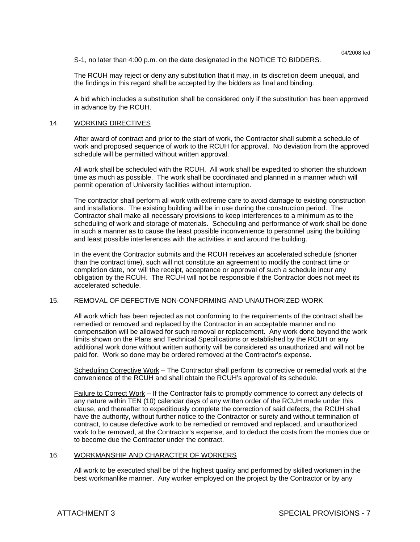S-1, no later than 4:00 p.m. on the date designated in the NOTICE TO BIDDERS.

 The RCUH may reject or deny any substitution that it may, in its discretion deem unequal, and the findings in this regard shall be accepted by the bidders as final and binding.

A bid which includes a substitution shall be considered only if the substitution has been approved in advance by the RCUH.

#### 14. WORKING DIRECTIVES

 After award of contract and prior to the start of work, the Contractor shall submit a schedule of work and proposed sequence of work to the RCUH for approval. No deviation from the approved schedule will be permitted without written approval.

 All work shall be scheduled with the RCUH. All work shall be expedited to shorten the shutdown time as much as possible. The work shall be coordinated and planned in a manner which will permit operation of University facilities without interruption.

 The contractor shall perform all work with extreme care to avoid damage to existing construction and installations. The existing building will be in use during the construction period. The Contractor shall make all necessary provisions to keep interferences to a minimum as to the scheduling of work and storage of materials. Scheduling and performance of work shall be done in such a manner as to cause the least possible inconvenience to personnel using the building and least possible interferences with the activities in and around the building.

 In the event the Contractor submits and the RCUH receives an accelerated schedule (shorter than the contract time), such will not constitute an agreement to modify the contract time or completion date, nor will the receipt, acceptance or approval of such a schedule incur any obligation by the RCUH. The RCUH will not be responsible if the Contractor does not meet its accelerated schedule.

### 15. REMOVAL OF DEFECTIVE NON-CONFORMING AND UNAUTHORIZED WORK

 All work which has been rejected as not conforming to the requirements of the contract shall be remedied or removed and replaced by the Contractor in an acceptable manner and no compensation will be allowed for such removal or replacement. Any work done beyond the work limits shown on the Plans and Technical Specifications or established by the RCUH or any additional work done without written authority will be considered as unauthorized and will not be paid for. Work so done may be ordered removed at the Contractor's expense.

 Scheduling Corrective Work – The Contractor shall perform its corrective or remedial work at the convenience of the RCUH and shall obtain the RCUH's approval of its schedule.

 Failure to Correct Work – If the Contractor fails to promptly commence to correct any defects of any nature within TEN (10) calendar days of any written order of the RCUH made under this clause, and thereafter to expeditiously complete the correction of said defects, the RCUH shall have the authority, without further notice to the Contractor or surety and without termination of contract, to cause defective work to be remedied or removed and replaced, and unauthorized work to be removed, at the Contractor's expense, and to deduct the costs from the monies due or to become due the Contractor under the contract.

#### 16. WORKMANSHIP AND CHARACTER OF WORKERS

 All work to be executed shall be of the highest quality and performed by skilled workmen in the best workmanlike manner. Any worker employed on the project by the Contractor or by any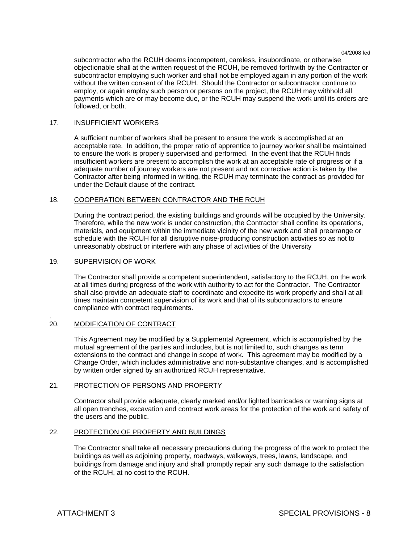subcontractor who the RCUH deems incompetent, careless, insubordinate, or otherwise objectionable shall at the written request of the RCUH, be removed forthwith by the Contractor or subcontractor employing such worker and shall not be employed again in any portion of the work without the written consent of the RCUH. Should the Contractor or subcontractor continue to employ, or again employ such person or persons on the project, the RCUH may withhold all payments which are or may become due, or the RCUH may suspend the work until its orders are followed, or both.

#### 17. INSUFFICIENT WORKERS

 A sufficient number of workers shall be present to ensure the work is accomplished at an acceptable rate. In addition, the proper ratio of apprentice to journey worker shall be maintained to ensure the work is properly supervised and performed. In the event that the RCUH finds insufficient workers are present to accomplish the work at an acceptable rate of progress or if a adequate number of journey workers are not present and not corrective action is taken by the Contractor after being informed in writing, the RCUH may terminate the contract as provided for under the Default clause of the contract.

# 18. COOPERATION BETWEEN CONTRACTOR AND THE RCUH

 During the contract period, the existing buildings and grounds will be occupied by the University. Therefore, while the new work is under construction, the Contractor shall confine its operations, materials, and equipment within the immediate vicinity of the new work and shall prearrange or schedule with the RCUH for all disruptive noise-producing construction activities so as not to unreasonably obstruct or interfere with any phase of activities of the University

#### 19. SUPERVISION OF WORK

 The Contractor shall provide a competent superintendent, satisfactory to the RCUH, on the work at all times during progress of the work with authority to act for the Contractor. The Contractor shall also provide an adequate staff to coordinate and expedite its work properly and shall at all times maintain competent supervision of its work and that of its subcontractors to ensure compliance with contract requirements.

#### . 20. MODIFICATION OF CONTRACT

 This Agreement may be modified by a Supplemental Agreement, which is accomplished by the mutual agreement of the parties and includes, but is not limited to, such changes as term extensions to the contract and change in scope of work. This agreement may be modified by a Change Order, which includes administrative and non-substantive changes, and is accomplished by written order signed by an authorized RCUH representative.

### 21. PROTECTION OF PERSONS AND PROPERTY

 Contractor shall provide adequate, clearly marked and/or lighted barricades or warning signs at all open trenches, excavation and contract work areas for the protection of the work and safety of the users and the public.

### 22. PROTECTION OF PROPERTY AND BUILDINGS

 The Contractor shall take all necessary precautions during the progress of the work to protect the buildings as well as adjoining property, roadways, walkways, trees, lawns, landscape, and buildings from damage and injury and shall promptly repair any such damage to the satisfaction of the RCUH, at no cost to the RCUH.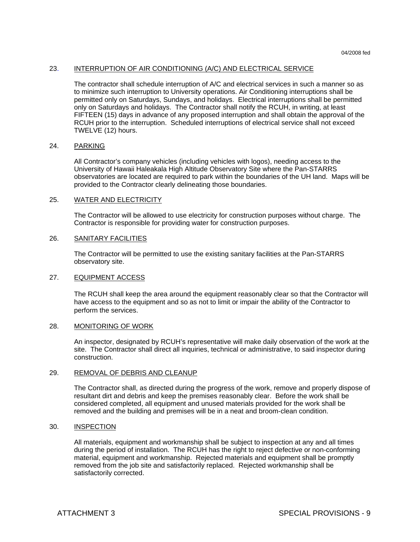# 23. INTERRUPTION OF AIR CONDITIONING (A/C) AND ELECTRICAL SERVICE

 The contractor shall schedule interruption of A/C and electrical services in such a manner so as to minimize such interruption to University operations. Air Conditioning interruptions shall be permitted only on Saturdays, Sundays, and holidays. Electrical interruptions shall be permitted only on Saturdays and holidays. The Contractor shall notify the RCUH, in writing, at least FIFTEEN (15) days in advance of any proposed interruption and shall obtain the approval of the RCUH prior to the interruption. Scheduled interruptions of electrical service shall not exceed TWELVE (12) hours.

#### 24. PARKING

 All Contractor's company vehicles (including vehicles with logos), needing access to the University of Hawaii Haleakala High Altitude Observatory Site where the Pan-STARRS observatories are located are required to park within the boundaries of the UH land. Maps will be provided to the Contractor clearly delineating those boundaries.

## 25. WATER AND ELECTRICITY

 The Contractor will be allowed to use electricity for construction purposes without charge. The Contractor is responsible for providing water for construction purposes.

#### 26. SANITARY FACILITIES

 The Contractor will be permitted to use the existing sanitary facilities at the Pan-STARRS observatory site.

### 27. EQUIPMENT ACCESS

The RCUH shall keep the area around the equipment reasonably clear so that the Contractor will have access to the equipment and so as not to limit or impair the ability of the Contractor to perform the services.

#### 28. MONITORING OF WORK

 An inspector, designated by RCUH's representative will make daily observation of the work at the site. The Contractor shall direct all inquiries, technical or administrative, to said inspector during construction.

#### 29. REMOVAL OF DEBRIS AND CLEANUP

 The Contractor shall, as directed during the progress of the work, remove and properly dispose of resultant dirt and debris and keep the premises reasonably clear. Before the work shall be considered completed, all equipment and unused materials provided for the work shall be removed and the building and premises will be in a neat and broom-clean condition.

### 30. INSPECTION

 All materials, equipment and workmanship shall be subject to inspection at any and all times during the period of installation. The RCUH has the right to reject defective or non-conforming material, equipment and workmanship. Rejected materials and equipment shall be promptly removed from the job site and satisfactorily replaced. Rejected workmanship shall be satisfactorily corrected.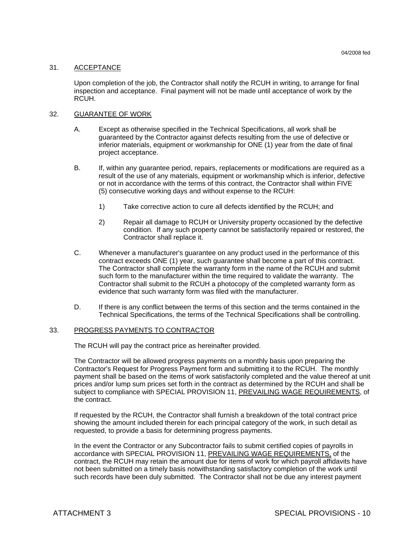### 31. ACCEPTANCE

 Upon completion of the job, the Contractor shall notify the RCUH in writing, to arrange for final inspection and acceptance. Final payment will not be made until acceptance of work by the RCUH.

### 32. GUARANTEE OF WORK

- A. Except as otherwise specified in the Technical Specifications, all work shall be guaranteed by the Contractor against defects resulting from the use of defective or inferior materials, equipment or workmanship for ONE (1) year from the date of final project acceptance.
- B. If, within any guarantee period, repairs, replacements or modifications are required as a result of the use of any materials, equipment or workmanship which is inferior, defective or not in accordance with the terms of this contract, the Contractor shall within FIVE (5) consecutive working days and without expense to the RCUH:
	- 1) Take corrective action to cure all defects identified by the RCUH; and
	- 2) Repair all damage to RCUH or University property occasioned by the defective condition. If any such property cannot be satisfactorily repaired or restored, the Contractor shall replace it.
- C. Whenever a manufacturer's guarantee on any product used in the performance of this contract exceeds ONE (1) year, such guarantee shall become a part of this contract. The Contractor shall complete the warranty form in the name of the RCUH and submit such form to the manufacturer within the time required to validate the warranty. The Contractor shall submit to the RCUH a photocopy of the completed warranty form as evidence that such warranty form was filed with the manufacturer.
- D. If there is any conflict between the terms of this section and the terms contained in the Technical Specifications, the terms of the Technical Specifications shall be controlling.

### 33. PROGRESS PAYMENTS TO CONTRACTOR

The RCUH will pay the contract price as hereinafter provided.

 The Contractor will be allowed progress payments on a monthly basis upon preparing the Contractor's Request for Progress Payment form and submitting it to the RCUH. The monthly payment shall be based on the items of work satisfactorily completed and the value thereof at unit prices and/or lump sum prices set forth in the contract as determined by the RCUH and shall be subject to compliance with SPECIAL PROVISION 11, PREVAILING WAGE REQUIREMENTS, of the contract.

 If requested by the RCUH, the Contractor shall furnish a breakdown of the total contract price showing the amount included therein for each principal category of the work, in such detail as requested, to provide a basis for determining progress payments.

 In the event the Contractor or any Subcontractor fails to submit certified copies of payrolls in accordance with SPECIAL PROVISION 11, PREVAILING WAGE REQUIREMENTS, of the contract, the RCUH may retain the amount due for items of work for which payroll affidavits have not been submitted on a timely basis notwithstanding satisfactory completion of the work until such records have been duly submitted. The Contractor shall not be due any interest payment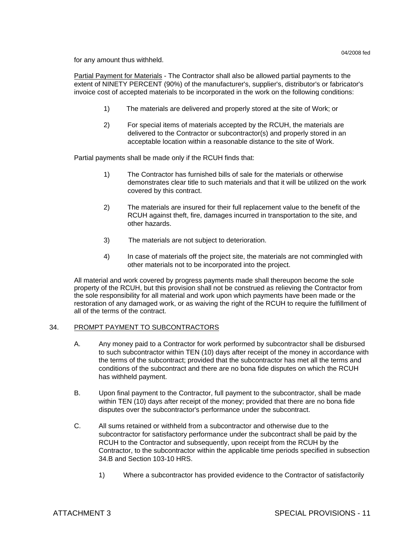for any amount thus withheld.

 Partial Payment for Materials - The Contractor shall also be allowed partial payments to the extent of NINETY PERCENT (90%) of the manufacturer's, supplier's, distributor's or fabricator's invoice cost of accepted materials to be incorporated in the work on the following conditions:

- 1) The materials are delivered and properly stored at the site of Work; or
- 2) For special items of materials accepted by the RCUH, the materials are delivered to the Contractor or subcontractor(s) and properly stored in an acceptable location within a reasonable distance to the site of Work.

Partial payments shall be made only if the RCUH finds that:

- 1) The Contractor has furnished bills of sale for the materials or otherwise demonstrates clear title to such materials and that it will be utilized on the work covered by this contract.
- 2) The materials are insured for their full replacement value to the benefit of the RCUH against theft, fire, damages incurred in transportation to the site, and other hazards.
- 3) The materials are not subject to deterioration.
- 4) In case of materials off the project site, the materials are not commingled with other materials not to be incorporated into the project.

 All material and work covered by progress payments made shall thereupon become the sole property of the RCUH, but this provision shall not be construed as relieving the Contractor from the sole responsibility for all material and work upon which payments have been made or the restoration of any damaged work, or as waiving the right of the RCUH to require the fulfillment of all of the terms of the contract.

### 34. PROMPT PAYMENT TO SUBCONTRACTORS

- A. Any money paid to a Contractor for work performed by subcontractor shall be disbursed to such subcontractor within TEN (10) days after receipt of the money in accordance with the terms of the subcontract; provided that the subcontractor has met all the terms and conditions of the subcontract and there are no bona fide disputes on which the RCUH has withheld payment.
- B. Upon final payment to the Contractor, full payment to the subcontractor, shall be made within TEN (10) days after receipt of the money; provided that there are no bona fide disputes over the subcontractor's performance under the subcontract.
- C. All sums retained or withheld from a subcontractor and otherwise due to the subcontractor for satisfactory performance under the subcontract shall be paid by the RCUH to the Contractor and subsequently, upon receipt from the RCUH by the Contractor, to the subcontractor within the applicable time periods specified in subsection 34.B and Section 103-10 HRS.
	- 1) Where a subcontractor has provided evidence to the Contractor of satisfactorily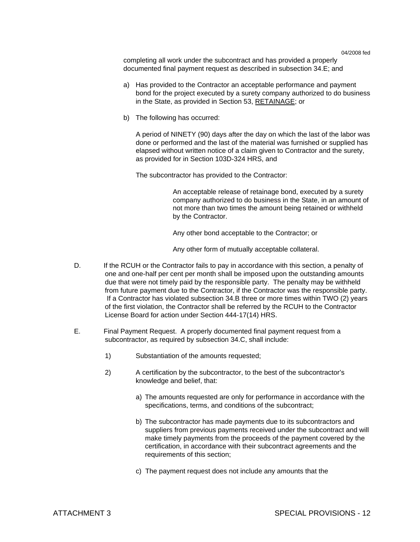completing all work under the subcontract and has provided a properly documented final payment request as described in subsection 34.E; and

- a) Has provided to the Contractor an acceptable performance and payment bond for the project executed by a surety company authorized to do business in the State, as provided in Section 53, RETAINAGE; or
- b) The following has occurred:

A period of NINETY (90) days after the day on which the last of the labor was done or performed and the last of the material was furnished or supplied has elapsed without written notice of a claim given to Contractor and the surety, as provided for in Section 103D-324 HRS, and

The subcontractor has provided to the Contractor:

An acceptable release of retainage bond, executed by a surety company authorized to do business in the State, in an amount of not more than two times the amount being retained or withheld by the Contractor.

Any other bond acceptable to the Contractor; or

Any other form of mutually acceptable collateral.

- D. If the RCUH or the Contractor fails to pay in accordance with this section, a penalty of one and one-half per cent per month shall be imposed upon the outstanding amounts due that were not timely paid by the responsible party. The penalty may be withheld from future payment due to the Contractor, if the Contractor was the responsible party. If a Contractor has violated subsection 34.B three or more times within TWO (2) years of the first violation, the Contractor shall be referred by the RCUH to the Contractor License Board for action under Section 444-17(14) HRS.
- E. Final Payment Request. A properly documented final payment request from a subcontractor, as required by subsection 34.C, shall include:
	- 1) Substantiation of the amounts requested;
	- 2) A certification by the subcontractor, to the best of the subcontractor's knowledge and belief, that:
		- a) The amounts requested are only for performance in accordance with the specifications, terms, and conditions of the subcontract;
		- b) The subcontractor has made payments due to its subcontractors and suppliers from previous payments received under the subcontract and will make timely payments from the proceeds of the payment covered by the certification, in accordance with their subcontract agreements and the requirements of this section;
		- c) The payment request does not include any amounts that the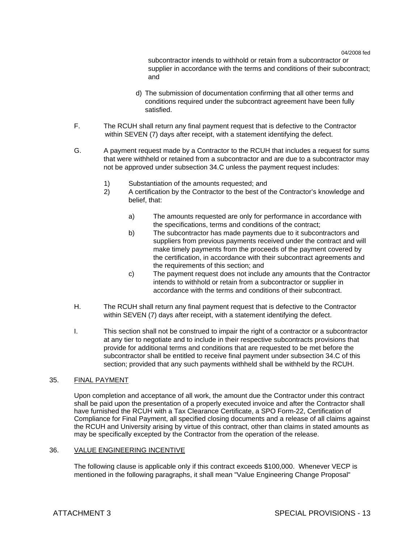subcontractor intends to withhold or retain from a subcontractor or supplier in accordance with the terms and conditions of their subcontract; and

- d) The submission of documentation confirming that all other terms and conditions required under the subcontract agreement have been fully satisfied.
- F. The RCUH shall return any final payment request that is defective to the Contractor within SEVEN (7) days after receipt, with a statement identifying the defect.
- G. A payment request made by a Contractor to the RCUH that includes a request for sums that were withheld or retained from a subcontractor and are due to a subcontractor may not be approved under subsection 34.C unless the payment request includes:
	- 1) Substantiation of the amounts requested; and
	- 2) A certification by the Contractor to the best of the Contractor's knowledge and belief, that:
		- a) The amounts requested are only for performance in accordance with the specifications, terms and conditions of the contract;
		- b) The subcontractor has made payments due to it subcontractors and suppliers from previous payments received under the contract and will make timely payments from the proceeds of the payment covered by the certification, in accordance with their subcontract agreements and the requirements of this section; and
		- c) The payment request does not include any amounts that the Contractor intends to withhold or retain from a subcontractor or supplier in accordance with the terms and conditions of their subcontract.
- H. The RCUH shall return any final payment request that is defective to the Contractor within SEVEN (7) days after receipt, with a statement identifying the defect.
- I. This section shall not be construed to impair the right of a contractor or a subcontractor at any tier to negotiate and to include in their respective subcontracts provisions that provide for additional terms and conditions that are requested to be met before the subcontractor shall be entitled to receive final payment under subsection 34.C of this section; provided that any such payments withheld shall be withheld by the RCUH.

### 35. FINAL PAYMENT

 Upon completion and acceptance of all work, the amount due the Contractor under this contract shall be paid upon the presentation of a properly executed invoice and after the Contractor shall have furnished the RCUH with a Tax Clearance Certificate, a SPO Form-22, Certification of Compliance for Final Payment, all specified closing documents and a release of all claims against the RCUH and University arising by virtue of this contract, other than claims in stated amounts as may be specifically excepted by the Contractor from the operation of the release.

### 36. VALUE ENGINEERING INCENTIVE

The following clause is applicable only if this contract exceeds \$100,000. Whenever VECP is mentioned in the following paragraphs, it shall mean "Value Engineering Change Proposal"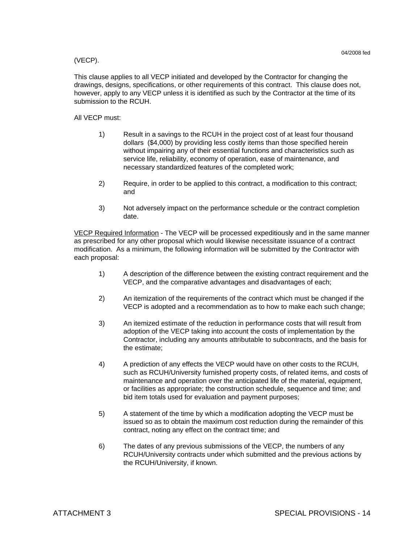### (VECP).

This clause applies to all VECP initiated and developed by the Contractor for changing the drawings, designs, specifications, or other requirements of this contract. This clause does not, however, apply to any VECP unless it is identified as such by the Contractor at the time of its submission to the RCUH.

All VECP must:

- 1) Result in a savings to the RCUH in the project cost of at least four thousand dollars (\$4,000) by providing less costly items than those specified herein without impairing any of their essential functions and characteristics such as service life, reliability, economy of operation, ease of maintenance, and necessary standardized features of the completed work;
- 2) Require, in order to be applied to this contract, a modification to this contract; and
- 3) Not adversely impact on the performance schedule or the contract completion date.

VECP Required Information - The VECP will be processed expeditiously and in the same manner as prescribed for any other proposal which would likewise necessitate issuance of a contract modification. As a minimum, the following information will be submitted by the Contractor with each proposal:

- 1) A description of the difference between the existing contract requirement and the VECP, and the comparative advantages and disadvantages of each;
- 2) An itemization of the requirements of the contract which must be changed if the VECP is adopted and a recommendation as to how to make each such change;
- 3) An itemized estimate of the reduction in performance costs that will result from adoption of the VECP taking into account the costs of implementation by the Contractor, including any amounts attributable to subcontracts, and the basis for the estimate;
- 4) A prediction of any effects the VECP would have on other costs to the RCUH, such as RCUH/University furnished property costs, of related items, and costs of maintenance and operation over the anticipated life of the material, equipment, or facilities as appropriate; the construction schedule, sequence and time; and bid item totals used for evaluation and payment purposes;
- 5) A statement of the time by which a modification adopting the VECP must be issued so as to obtain the maximum cost reduction during the remainder of this contract, noting any effect on the contract time; and
- 6) The dates of any previous submissions of the VECP, the numbers of any RCUH/University contracts under which submitted and the previous actions by the RCUH/University, if known.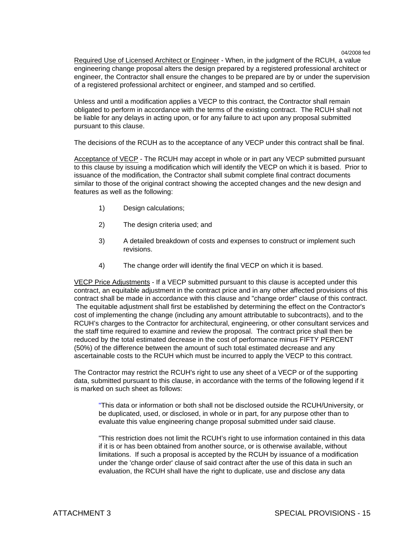Required Use of Licensed Architect or Engineer - When, in the judgment of the RCUH, a value engineering change proposal alters the design prepared by a registered professional architect or engineer, the Contractor shall ensure the changes to be prepared are by or under the supervision of a registered professional architect or engineer, and stamped and so certified.

Unless and until a modification applies a VECP to this contract, the Contractor shall remain obligated to perform in accordance with the terms of the existing contract. The RCUH shall not be liable for any delays in acting upon, or for any failure to act upon any proposal submitted pursuant to this clause.

The decisions of the RCUH as to the acceptance of any VECP under this contract shall be final.

Acceptance of VECP - The RCUH may accept in whole or in part any VECP submitted pursuant to this clause by issuing a modification which will identify the VECP on which it is based. Prior to issuance of the modification, the Contractor shall submit complete final contract documents similar to those of the original contract showing the accepted changes and the new design and features as well as the following:

- 1) Design calculations;
- 2) The design criteria used; and
- 3) A detailed breakdown of costs and expenses to construct or implement such revisions.
- 4) The change order will identify the final VECP on which it is based.

VECP Price Adjustments - If a VECP submitted pursuant to this clause is accepted under this contract, an equitable adjustment in the contract price and in any other affected provisions of this contract shall be made in accordance with this clause and "change order" clause of this contract. The equitable adjustment shall first be established by determining the effect on the Contractor's cost of implementing the change (including any amount attributable to subcontracts), and to the RCUH's charges to the Contractor for architectural, engineering, or other consultant services and the staff time required to examine and review the proposal. The contract price shall then be reduced by the total estimated decrease in the cost of performance minus FIFTY PERCENT (50%) of the difference between the amount of such total estimated decrease and any ascertainable costs to the RCUH which must be incurred to apply the VECP to this contract.

The Contractor may restrict the RCUH's right to use any sheet of a VECP or of the supporting data, submitted pursuant to this clause, in accordance with the terms of the following legend if it is marked on such sheet as follows:

"This data or information or both shall not be disclosed outside the RCUH/University, or be duplicated, used, or disclosed, in whole or in part, for any purpose other than to evaluate this value engineering change proposal submitted under said clause.

"This restriction does not limit the RCUH's right to use information contained in this data if it is or has been obtained from another source, or is otherwise available, without limitations. If such a proposal is accepted by the RCUH by issuance of a modification under the 'change order' clause of said contract after the use of this data in such an evaluation, the RCUH shall have the right to duplicate, use and disclose any data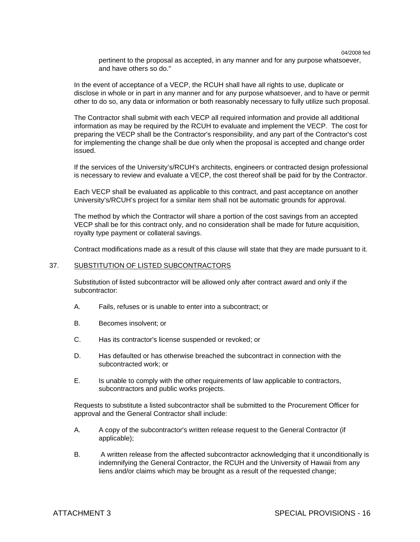pertinent to the proposal as accepted, in any manner and for any purpose whatsoever, and have others so do."

In the event of acceptance of a VECP, the RCUH shall have all rights to use, duplicate or disclose in whole or in part in any manner and for any purpose whatsoever, and to have or permit other to do so, any data or information or both reasonably necessary to fully utilize such proposal.

The Contractor shall submit with each VECP all required information and provide all additional information as may be required by the RCUH to evaluate and implement the VECP. The cost for preparing the VECP shall be the Contractor's responsibility, and any part of the Contractor's cost for implementing the change shall be due only when the proposal is accepted and change order issued.

If the services of the University's/RCUH's architects, engineers or contracted design professional is necessary to review and evaluate a VECP, the cost thereof shall be paid for by the Contractor.

Each VECP shall be evaluated as applicable to this contract, and past acceptance on another University's/RCUH's project for a similar item shall not be automatic grounds for approval.

The method by which the Contractor will share a portion of the cost savings from an accepted VECP shall be for this contract only, and no consideration shall be made for future acquisition, royalty type payment or collateral savings.

Contract modifications made as a result of this clause will state that they are made pursuant to it.

#### 37. SUBSTITUTION OF LISTED SUBCONTRACTORS

Substitution of listed subcontractor will be allowed only after contract award and only if the subcontractor:

- A. Fails, refuses or is unable to enter into a subcontract; or
- B. Becomes insolvent; or
- C. Has its contractor's license suspended or revoked; or
- D. Has defaulted or has otherwise breached the subcontract in connection with the subcontracted work; or
- E. Is unable to comply with the other requirements of law applicable to contractors, subcontractors and public works projects.

Requests to substitute a listed subcontractor shall be submitted to the Procurement Officer for approval and the General Contractor shall include:

- A. A copy of the subcontractor's written release request to the General Contractor (if applicable);
- B. A written release from the affected subcontractor acknowledging that it unconditionally is indemnifying the General Contractor, the RCUH and the University of Hawaii from any liens and/or claims which may be brought as a result of the requested change;

04/2008 fed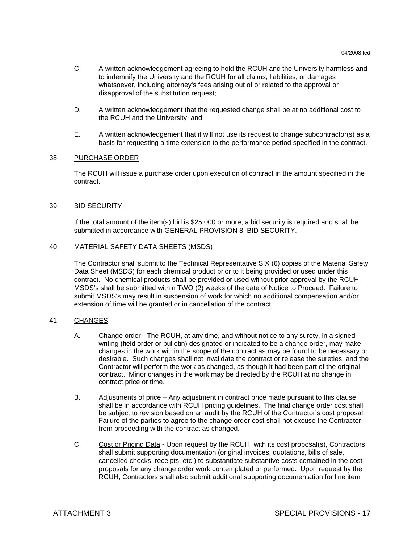- C. A written acknowledgement agreeing to hold the RCUH and the University harmless and to indemnify the University and the RCUH for all claims, liabilities, or damages whatsoever, including attorney's fees arising out of or related to the approval or disapproval of the substitution request;
- D. A written acknowledgement that the requested change shall be at no additional cost to the RCUH and the University; and
- E. A written acknowledgement that it will not use its request to change subcontractor(s) as a basis for requesting a time extension to the performance period specified in the contract.

### 38. PURCHASE ORDER

 The RCUH will issue a purchase order upon execution of contract in the amount specified in the contract.

### 39. BID SECURITY

If the total amount of the item(s) bid is \$25,000 or more, a bid security is required and shall be submitted in accordance with GENERAL PROVISION 8, BID SECURITY.

#### 40. MATERIAL SAFETY DATA SHEETS (MSDS)

The Contractor shall submit to the Technical Representative SIX (6) copies of the Material Safety Data Sheet (MSDS) for each chemical product prior to it being provided or used under this contract. No chemical products shall be provided or used without prior approval by the RCUH. MSDS's shall be submitted within TWO (2) weeks of the date of Notice to Proceed. Failure to submit MSDS's may result in suspension of work for which no additional compensation and/or extension of time will be granted or in cancellation of the contract.

### 41. CHANGES

- A. Change order The RCUH, at any time, and without notice to any surety, in a signed writing (field order or bulletin) designated or indicated to be a change order, may make changes in the work within the scope of the contract as may be found to be necessary or desirable. Such changes shall not invalidate the contract or release the sureties, and the Contractor will perform the work as changed, as though it had been part of the original contract. Minor changes in the work may be directed by the RCUH at no change in contract price or time.
- B. Adjustments of price Any adjustment in contract price made pursuant to this clause shall be in accordance with RCUH pricing guidelines. The final change order cost shall be subject to revision based on an audit by the RCUH of the Contractor's cost proposal. Failure of the parties to agree to the change order cost shall not excuse the Contractor from proceeding with the contract as changed.
- C. Cost or Pricing Data Upon request by the RCUH, with its cost proposal(s), Contractors shall submit supporting documentation (original invoices, quotations, bills of sale, cancelled checks, receipts, etc.) to substantiate substantive costs contained in the cost proposals for any change order work contemplated or performed. Upon request by the RCUH, Contractors shall also submit additional supporting documentation for line item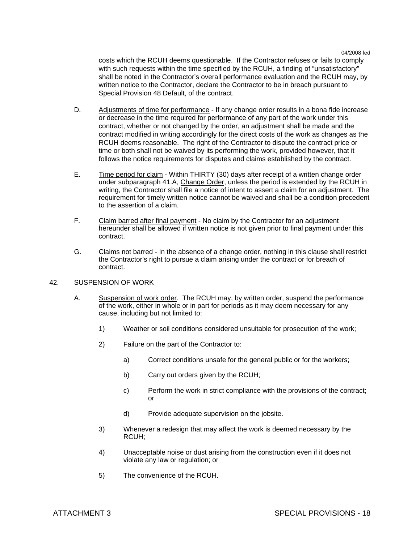costs which the RCUH deems questionable. If the Contractor refuses or fails to comply with such requests within the time specified by the RCUH, a finding of "unsatisfactory" shall be noted in the Contractor's overall performance evaluation and the RCUH may, by written notice to the Contractor, declare the Contractor to be in breach pursuant to Special Provision 48 Default, of the contract.

- D. Adjustments of time for performance If any change order results in a bona fide increase or decrease in the time required for performance of any part of the work under this contract, whether or not changed by the order, an adjustment shall be made and the contract modified in writing accordingly for the direct costs of the work as changes as the RCUH deems reasonable. The right of the Contractor to dispute the contract price or time or both shall not be waived by its performing the work, provided however, that it follows the notice requirements for disputes and claims established by the contract.
- E. Time period for claim Within THIRTY (30) days after receipt of a written change order under subparagraph 41.A, Change Order, unless the period is extended by the RCUH in writing, the Contractor shall file a notice of intent to assert a claim for an adjustment. The requirement for timely written notice cannot be waived and shall be a condition precedent to the assertion of a claim.
- F. Claim barred after final payment No claim by the Contractor for an adjustment hereunder shall be allowed if written notice is not given prior to final payment under this contract.
- G. Claims not barred In the absence of a change order, nothing in this clause shall restrict the Contractor's right to pursue a claim arising under the contract or for breach of contract.

### 42. SUSPENSION OF WORK

- A. Suspension of work order. The RCUH may, by written order, suspend the performance of the work, either in whole or in part for periods as it may deem necessary for any cause, including but not limited to:
	- 1) Weather or soil conditions considered unsuitable for prosecution of the work;
	- 2) Failure on the part of the Contractor to:
		- a) Correct conditions unsafe for the general public or for the workers;
		- b) Carry out orders given by the RCUH;
		- c) Perform the work in strict compliance with the provisions of the contract; or
		- d) Provide adequate supervision on the jobsite.
	- 3) Whenever a redesign that may affect the work is deemed necessary by the RCUH;
	- 4) Unacceptable noise or dust arising from the construction even if it does not violate any law or regulation; or
	- 5) The convenience of the RCUH.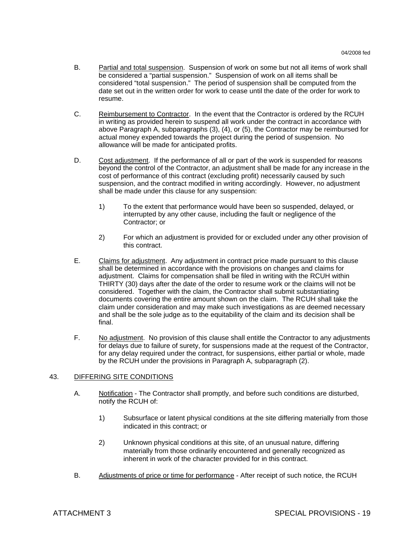- B. Partial and total suspension. Suspension of work on some but not all items of work shall be considered a "partial suspension." Suspension of work on all items shall be considered "total suspension." The period of suspension shall be computed from the date set out in the written order for work to cease until the date of the order for work to resume.
- C. Reimbursement to Contractor. In the event that the Contractor is ordered by the RCUH in writing as provided herein to suspend all work under the contract in accordance with above Paragraph A, subparagraphs (3), (4), or (5), the Contractor may be reimbursed for actual money expended towards the project during the period of suspension. No allowance will be made for anticipated profits.
- D. Cost adjustment. If the performance of all or part of the work is suspended for reasons beyond the control of the Contractor, an adjustment shall be made for any increase in the cost of performance of this contract (excluding profit) necessarily caused by such suspension, and the contract modified in writing accordingly. However, no adjustment shall be made under this clause for any suspension:
	- 1) To the extent that performance would have been so suspended, delayed, or interrupted by any other cause, including the fault or negligence of the Contractor; or
	- 2) For which an adjustment is provided for or excluded under any other provision of this contract.
- E. Claims for adjustment. Any adjustment in contract price made pursuant to this clause shall be determined in accordance with the provisions on changes and claims for adjustment. Claims for compensation shall be filed in writing with the RCUH within THIRTY (30) days after the date of the order to resume work or the claims will not be considered. Together with the claim, the Contractor shall submit substantiating documents covering the entire amount shown on the claim. The RCUH shall take the claim under consideration and may make such investigations as are deemed necessary and shall be the sole judge as to the equitability of the claim and its decision shall be final.
- F. No adjustment. No provision of this clause shall entitle the Contractor to any adjustments for delays due to failure of surety, for suspensions made at the request of the Contractor, for any delay required under the contract, for suspensions, either partial or whole, made by the RCUH under the provisions in Paragraph A, subparagraph (2).

# 43. DIFFERING SITE CONDITIONS

- A. Notification The Contractor shall promptly, and before such conditions are disturbed, notify the RCUH of:
	- 1) Subsurface or latent physical conditions at the site differing materially from those indicated in this contract; or
	- 2) Unknown physical conditions at this site, of an unusual nature, differing materially from those ordinarily encountered and generally recognized as inherent in work of the character provided for in this contract.
- B. Adjustments of price or time for performance After receipt of such notice, the RCUH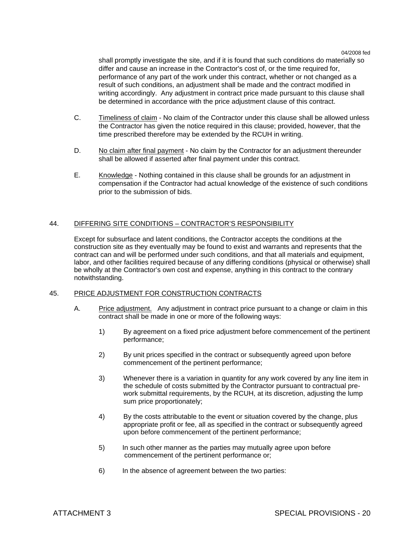shall promptly investigate the site, and if it is found that such conditions do materially so differ and cause an increase in the Contractor's cost of, or the time required for, performance of any part of the work under this contract, whether or not changed as a result of such conditions, an adjustment shall be made and the contract modified in writing accordingly. Any adjustment in contract price made pursuant to this clause shall be determined in accordance with the price adjustment clause of this contract.

- C. Timeliness of claim No claim of the Contractor under this clause shall be allowed unless the Contractor has given the notice required in this clause; provided, however, that the time prescribed therefore may be extended by the RCUH in writing.
- D. No claim after final payment No claim by the Contractor for an adjustment thereunder shall be allowed if asserted after final payment under this contract.
- E. Knowledge Nothing contained in this clause shall be grounds for an adjustment in compensation if the Contractor had actual knowledge of the existence of such conditions prior to the submission of bids.

# 44. DIFFERING SITE CONDITIONS – CONTRACTOR'S RESPONSIBILITY

 Except for subsurface and latent conditions, the Contractor accepts the conditions at the construction site as they eventually may be found to exist and warrants and represents that the contract can and will be performed under such conditions, and that all materials and equipment, labor, and other facilities required because of any differing conditions (physical or otherwise) shall be wholly at the Contractor's own cost and expense, anything in this contract to the contrary notwithstanding.

# 45. PRICE ADJUSTMENT FOR CONSTRUCTION CONTRACTS

- A. Price adjustment. Any adjustment in contract price pursuant to a change or claim in this contract shall be made in one or more of the following ways:
	- 1) By agreement on a fixed price adjustment before commencement of the pertinent performance;
	- 2) By unit prices specified in the contract or subsequently agreed upon before commencement of the pertinent performance;
	- 3) Whenever there is a variation in quantity for any work covered by any line item in the schedule of costs submitted by the Contractor pursuant to contractual prework submittal requirements, by the RCUH, at its discretion, adjusting the lump sum price proportionately;
	- 4) By the costs attributable to the event or situation covered by the change, plus appropriate profit or fee, all as specified in the contract or subsequently agreed upon before commencement of the pertinent performance;
	- 5) In such other manner as the parties may mutually agree upon before commencement of the pertinent performance or;
	- 6) In the absence of agreement between the two parties: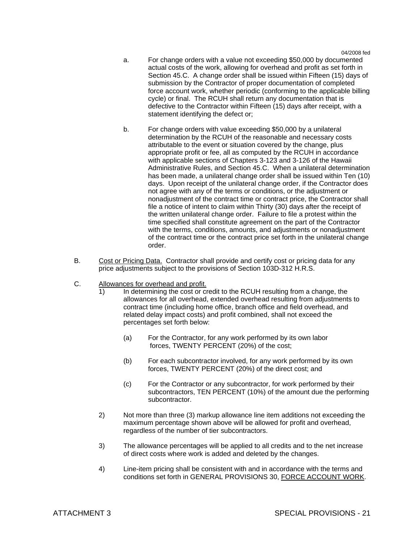- a. For change orders with a value not exceeding \$50,000 by documented actual costs of the work, allowing for overhead and profit as set forth in Section 45.C. A change order shall be issued within Fifteen (15) days of submission by the Contractor of proper documentation of completed force account work, whether periodic (conforming to the applicable billing cycle) or final. The RCUH shall return any documentation that is defective to the Contractor within Fifteen (15) days after receipt, with a statement identifying the defect or;
- b. For change orders with value exceeding \$50,000 by a unilateral determination by the RCUH of the reasonable and necessary costs attributable to the event or situation covered by the change, plus appropriate profit or fee, all as computed by the RCUH in accordance with applicable sections of Chapters 3-123 and 3-126 of the Hawaii Administrative Rules, and Section 45.C. When a unilateral determination has been made, a unilateral change order shall be issued within Ten (10) days. Upon receipt of the unilateral change order, if the Contractor does not agree with any of the terms or conditions, or the adjustment or nonadjustment of the contract time or contract price, the Contractor shall file a notice of intent to claim within Thirty (30) days after the receipt of the written unilateral change order. Failure to file a protest within the time specified shall constitute agreement on the part of the Contractor with the terms, conditions, amounts, and adjustments or nonadjustment of the contract time or the contract price set forth in the unilateral change order.
- B. Cost or Pricing Data. Contractor shall provide and certify cost or pricing data for any price adjustments subject to the provisions of Section 103D-312 H.R.S.
- C. Allowances for overhead and profit.
	- 1) In determining the cost or credit to the RCUH resulting from a change, the allowances for all overhead, extended overhead resulting from adjustments to contract time (including home office, branch office and field overhead, and related delay impact costs) and profit combined, shall not exceed the percentages set forth below:
		- (a) For the Contractor, for any work performed by its own labor forces, TWENTY PERCENT (20%) of the cost;
		- (b) For each subcontractor involved, for any work performed by its own forces, TWENTY PERCENT (20%) of the direct cost; and
		- (c) For the Contractor or any subcontractor, for work performed by their subcontractors, TEN PERCENT (10%) of the amount due the performing subcontractor.
	- 2) Not more than three (3) markup allowance line item additions not exceeding the maximum percentage shown above will be allowed for profit and overhead, regardless of the number of tier subcontractors.
	- 3) The allowance percentages will be applied to all credits and to the net increase of direct costs where work is added and deleted by the changes.
	- 4) Line-item pricing shall be consistent with and in accordance with the terms and conditions set forth in GENERAL PROVISIONS 30, FORCE ACCOUNT WORK.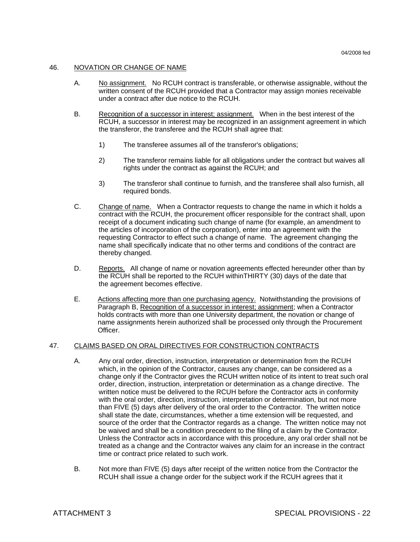#### 46. NOVATION OR CHANGE OF NAME

- A. No assignment. No RCUH contract is transferable, or otherwise assignable, without the written consent of the RCUH provided that a Contractor may assign monies receivable under a contract after due notice to the RCUH.
- B. Recognition of a successor in interest; assignment. When in the best interest of the RCUH, a successor in interest may be recognized in an assignment agreement in which the transferor, the transferee and the RCUH shall agree that:
	- 1) The transferee assumes all of the transferor's obligations;
	- 2) The transferor remains liable for all obligations under the contract but waives all rights under the contract as against the RCUH; and
	- 3) The transferor shall continue to furnish, and the transferee shall also furnish, all required bonds.
- C. Change of name. When a Contractor requests to change the name in which it holds a contract with the RCUH, the procurement officer responsible for the contract shall, upon receipt of a document indicating such change of name (for example, an amendment to the articles of incorporation of the corporation), enter into an agreement with the requesting Contractor to effect such a change of name. The agreement changing the name shall specifically indicate that no other terms and conditions of the contract are thereby changed.
- D. Reports. All change of name or novation agreements effected hereunder other than by the RCUH shall be reported to the RCUH withinTHIRTY (30) days of the date that the agreement becomes effective.
- E. Actions affecting more than one purchasing agency. Notwithstanding the provisions of Paragraph B, Recognition of a successor in interest; assignment; when a Contractor holds contracts with more than one University department, the novation or change of name assignments herein authorized shall be processed only through the Procurement Officer.

#### 47. CLAIMS BASED ON ORAL DIRECTIVES FOR CONSTRUCTION CONTRACTS

- A. Any oral order, direction, instruction, interpretation or determination from the RCUH which, in the opinion of the Contractor, causes any change, can be considered as a change only if the Contractor gives the RCUH written notice of its intent to treat such oral order, direction, instruction, interpretation or determination as a change directive. The written notice must be delivered to the RCUH before the Contractor acts in conformity with the oral order, direction, instruction, interpretation or determination, but not more than FIVE (5) days after delivery of the oral order to the Contractor. The written notice shall state the date, circumstances, whether a time extension will be requested, and source of the order that the Contractor regards as a change. The written notice may not be waived and shall be a condition precedent to the filing of a claim by the Contractor. Unless the Contractor acts in accordance with this procedure, any oral order shall not be treated as a change and the Contractor waives any claim for an increase in the contract time or contract price related to such work.
- B. Not more than FIVE (5) days after receipt of the written notice from the Contractor the RCUH shall issue a change order for the subject work if the RCUH agrees that it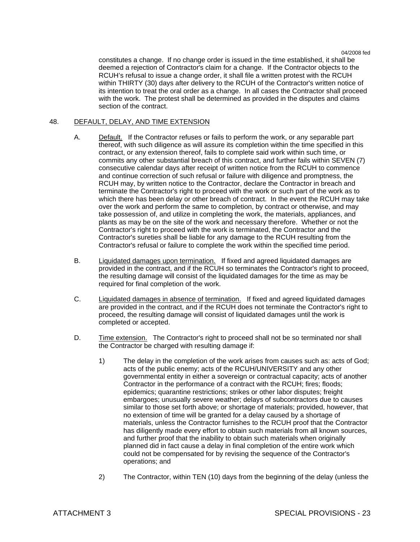constitutes a change. If no change order is issued in the time established, it shall be deemed a rejection of Contractor's claim for a change. If the Contractor objects to the RCUH's refusal to issue a change order, it shall file a written protest with the RCUH within THIRTY (30) days after delivery to the RCUH of the Contractor's written notice of its intention to treat the oral order as a change. In all cases the Contractor shall proceed with the work. The protest shall be determined as provided in the disputes and claims section of the contract.

# 48. DEFAULT, DELAY, AND TIME EXTENSION

- A. Default. If the Contractor refuses or fails to perform the work, or any separable part thereof, with such diligence as will assure its completion within the time specified in this contract, or any extension thereof, fails to complete said work within such time, or commits any other substantial breach of this contract, and further fails within SEVEN (7) consecutive calendar days after receipt of written notice from the RCUH to commence and continue correction of such refusal or failure with diligence and promptness, the RCUH may, by written notice to the Contractor, declare the Contractor in breach and terminate the Contractor's right to proceed with the work or such part of the work as to which there has been delay or other breach of contract. In the event the RCUH may take over the work and perform the same to completion, by contract or otherwise, and may take possession of, and utilize in completing the work, the materials, appliances, and plants as may be on the site of the work and necessary therefore. Whether or not the Contractor's right to proceed with the work is terminated, the Contractor and the Contractor's sureties shall be liable for any damage to the RCUH resulting from the Contractor's refusal or failure to complete the work within the specified time period.
- B. Liquidated damages upon termination. If fixed and agreed liquidated damages are provided in the contract, and if the RCUH so terminates the Contractor's right to proceed, the resulting damage will consist of the liquidated damages for the time as may be required for final completion of the work.
- C. Liquidated damages in absence of termination. If fixed and agreed liquidated damages are provided in the contract, and if the RCUH does not terminate the Contractor's right to proceed, the resulting damage will consist of liquidated damages until the work is completed or accepted.
- D. Time extension. The Contractor's right to proceed shall not be so terminated nor shall the Contractor be charged with resulting damage if:
	- 1) The delay in the completion of the work arises from causes such as: acts of God; acts of the public enemy; acts of the RCUH/UNIVERSITY and any other governmental entity in either a sovereign or contractual capacity; acts of another Contractor in the performance of a contract with the RCUH; fires; floods; epidemics; quarantine restrictions; strikes or other labor disputes; freight embargoes; unusually severe weather; delays of subcontractors due to causes similar to those set forth above; or shortage of materials; provided, however, that no extension of time will be granted for a delay caused by a shortage of materials, unless the Contractor furnishes to the RCUH proof that the Contractor has diligently made every effort to obtain such materials from all known sources, and further proof that the inability to obtain such materials when originally planned did in fact cause a delay in final completion of the entire work which could not be compensated for by revising the sequence of the Contractor's operations; and
	- 2) The Contractor, within TEN (10) days from the beginning of the delay (unless the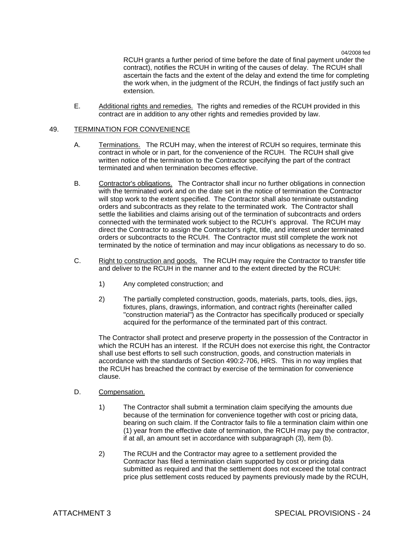RCUH grants a further period of time before the date of final payment under the contract), notifies the RCUH in writing of the causes of delay. The RCUH shall ascertain the facts and the extent of the delay and extend the time for completing the work when, in the judgment of the RCUH, the findings of fact justify such an extension.

 E. Additional rights and remedies. The rights and remedies of the RCUH provided in this contract are in addition to any other rights and remedies provided by law.

#### 49. TERMINATION FOR CONVENIENCE

- A. Terminations. The RCUH may, when the interest of RCUH so requires, terminate this contract in whole or in part, for the convenience of the RCUH. The RCUH shall give written notice of the termination to the Contractor specifying the part of the contract terminated and when termination becomes effective.
- B. Contractor's obligations. The Contractor shall incur no further obligations in connection with the terminated work and on the date set in the notice of termination the Contractor will stop work to the extent specified. The Contractor shall also terminate outstanding orders and subcontracts as they relate to the terminated work. The Contractor shall settle the liabilities and claims arising out of the termination of subcontracts and orders connected with the terminated work subject to the RCUH's approval. The RCUH may direct the Contractor to assign the Contractor's right, title, and interest under terminated orders or subcontracts to the RCUH. The Contractor must still complete the work not terminated by the notice of termination and may incur obligations as necessary to do so.
- C. Right to construction and goods. The RCUH may require the Contractor to transfer title and deliver to the RCUH in the manner and to the extent directed by the RCUH:
	- 1) Any completed construction; and
	- 2) The partially completed construction, goods, materials, parts, tools, dies, jigs, fixtures, plans, drawings, information, and contract rights (hereinafter called "construction material") as the Contractor has specifically produced or specially acquired for the performance of the terminated part of this contract.

 The Contractor shall protect and preserve property in the possession of the Contractor in which the RCUH has an interest. If the RCUH does not exercise this right, the Contractor shall use best efforts to sell such construction, goods, and construction materials in accordance with the standards of Section 490:2-706, HRS. This in no way implies that the RCUH has breached the contract by exercise of the termination for convenience clause.

### D. Compensation.

- 1) The Contractor shall submit a termination claim specifying the amounts due because of the termination for convenience together with cost or pricing data, bearing on such claim. If the Contractor fails to file a termination claim within one (1) year from the effective date of termination, the RCUH may pay the contractor, if at all, an amount set in accordance with subparagraph (3), item (b).
- 2) The RCUH and the Contractor may agree to a settlement provided the Contractor has filed a termination claim supported by cost or pricing data submitted as required and that the settlement does not exceed the total contract price plus settlement costs reduced by payments previously made by the RCUH,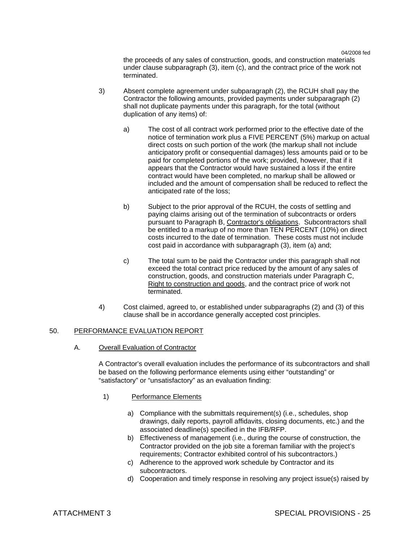the proceeds of any sales of construction, goods, and construction materials under clause subparagraph (3), item (c), and the contract price of the work not terminated.

- 3) Absent complete agreement under subparagraph (2), the RCUH shall pay the Contractor the following amounts, provided payments under subparagraph (2) shall not duplicate payments under this paragraph, for the total (without duplication of any items) of:
	- a) The cost of all contract work performed prior to the effective date of the notice of termination work plus a FIVE PERCENT (5%) markup on actual direct costs on such portion of the work (the markup shall not include anticipatory profit or consequential damages) less amounts paid or to be paid for completed portions of the work; provided, however, that if it appears that the Contractor would have sustained a loss if the entire contract would have been completed, no markup shall be allowed or included and the amount of compensation shall be reduced to reflect the anticipated rate of the loss;
	- b) Subject to the prior approval of the RCUH, the costs of settling and paying claims arising out of the termination of subcontracts or orders pursuant to Paragraph B, Contractor's obligations. Subcontractors shall be entitled to a markup of no more than TEN PERCENT (10%) on direct costs incurred to the date of termination. These costs must not include cost paid in accordance with subparagraph (3), item (a) and;
	- c) The total sum to be paid the Contractor under this paragraph shall not exceed the total contract price reduced by the amount of any sales of construction, goods, and construction materials under Paragraph C, Right to construction and goods, and the contract price of work not terminated.
- 4) Cost claimed, agreed to, or established under subparagraphs (2) and (3) of this clause shall be in accordance generally accepted cost principles.

# 50. PERFORMANCE EVALUATION REPORT

A. Overall Evaluation of Contractor

A Contractor's overall evaluation includes the performance of its subcontractors and shall be based on the following performance elements using either "outstanding" or "satisfactory" or "unsatisfactory" as an evaluation finding:

- 1) Performance Elements
	- a) Compliance with the submittals requirement(s) (i.e., schedules, shop drawings, daily reports, payroll affidavits, closing documents, etc.) and the associated deadline(s) specified in the IFB/RFP.
	- b) Effectiveness of management (i.e., during the course of construction, the Contractor provided on the job site a foreman familiar with the project's requirements; Contractor exhibited control of his subcontractors.)
	- c) Adherence to the approved work schedule by Contractor and its subcontractors.
	- d) Cooperation and timely response in resolving any project issue(s) raised by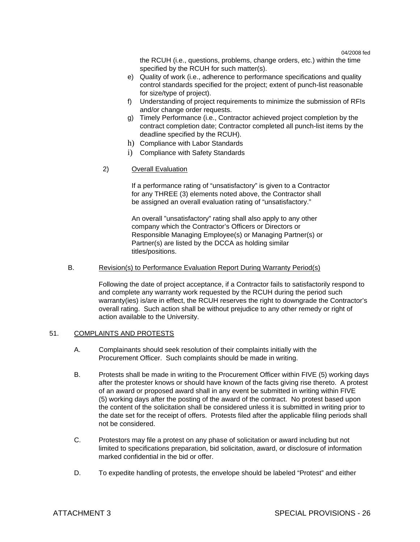the RCUH (i.e., questions, problems, change orders, etc.) within the time specified by the RCUH for such matter(s).

- e) Quality of work (i.e., adherence to performance specifications and quality control standards specified for the project; extent of punch-list reasonable for size/type of project).
- f) Understanding of project requirements to minimize the submission of RFIs and/or change order requests.
- g) Timely Performance (i.e., Contractor achieved project completion by the contract completion date; Contractor completed all punch-list items by the deadline specified by the RCUH).
- h) Compliance with Labor Standards
- i) Compliance with Safety Standards
- 2) Overall Evaluation

 If a performance rating of "unsatisfactory" is given to a Contractor for any THREE (3) elements noted above, the Contractor shall be assigned an overall evaluation rating of "unsatisfactory."

 An overall "unsatisfactory" rating shall also apply to any other company which the Contractor's Officers or Directors or Responsible Managing Employee(s) or Managing Partner(s) or Partner(s) are listed by the DCCA as holding similar titles/positions.

# B. Revision(s) to Performance Evaluation Report During Warranty Period(s)

Following the date of project acceptance, if a Contractor fails to satisfactorily respond to and complete any warranty work requested by the RCUH during the period such warranty(ies) is/are in effect, the RCUH reserves the right to downgrade the Contractor's overall rating. Such action shall be without prejudice to any other remedy or right of action available to the University.

# 51. COMPLAINTS AND PROTESTS

- A. Complainants should seek resolution of their complaints initially with the Procurement Officer. Such complaints should be made in writing.
- B. Protests shall be made in writing to the Procurement Officer within FIVE (5) working days after the protester knows or should have known of the facts giving rise thereto. A protest of an award or proposed award shall in any event be submitted in writing within FIVE (5) working days after the posting of the award of the contract. No protest based upon the content of the solicitation shall be considered unless it is submitted in writing prior to the date set for the receipt of offers. Protests filed after the applicable filing periods shall not be considered.
- C. Protestors may file a protest on any phase of solicitation or award including but not limited to specifications preparation, bid solicitation, award, or disclosure of information marked confidential in the bid or offer.
- D. To expedite handling of protests, the envelope should be labeled "Protest" and either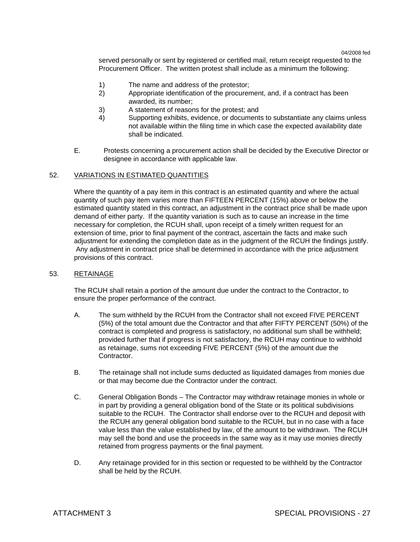served personally or sent by registered or certified mail, return receipt requested to the Procurement Officer. The written protest shall include as a minimum the following:

- 1) The name and address of the protestor;
- 2) Appropriate identification of the procurement, and, if a contract has been awarded, its number;
- 3) A statement of reasons for the protest; and
- 4) Supporting exhibits, evidence, or documents to substantiate any claims unless not available within the filing time in which case the expected availability date shall be indicated.
- E. Protests concerning a procurement action shall be decided by the Executive Director or designee in accordance with applicable law.

### 52. VARIATIONS IN ESTIMATED QUANTITIES

 Where the quantity of a pay item in this contract is an estimated quantity and where the actual quantity of such pay item varies more than FIFTEEN PERCENT (15%) above or below the estimated quantity stated in this contract, an adjustment in the contract price shall be made upon demand of either party. If the quantity variation is such as to cause an increase in the time necessary for completion, the RCUH shall, upon receipt of a timely written request for an extension of time, prior to final payment of the contract, ascertain the facts and make such adjustment for extending the completion date as in the judgment of the RCUH the findings justify. Any adjustment in contract price shall be determined in accordance with the price adjustment provisions of this contract.

#### 53. RETAINAGE

 The RCUH shall retain a portion of the amount due under the contract to the Contractor, to ensure the proper performance of the contract.

- A. The sum withheld by the RCUH from the Contractor shall not exceed FIVE PERCENT (5%) of the total amount due the Contractor and that after FIFTY PERCENT (50%) of the contract is completed and progress is satisfactory, no additional sum shall be withheld; provided further that if progress is not satisfactory, the RCUH may continue to withhold as retainage, sums not exceeding FIVE PERCENT (5%) of the amount due the Contractor.
- B. The retainage shall not include sums deducted as liquidated damages from monies due or that may become due the Contractor under the contract.
- C. General Obligation Bonds The Contractor may withdraw retainage monies in whole or in part by providing a general obligation bond of the State or its political subdivisions suitable to the RCUH. The Contractor shall endorse over to the RCUH and deposit with the RCUH any general obligation bond suitable to the RCUH, but in no case with a face value less than the value established by law, of the amount to be withdrawn. The RCUH may sell the bond and use the proceeds in the same way as it may use monies directly retained from progress payments or the final payment.
- D. Any retainage provided for in this section or requested to be withheld by the Contractor shall be held by the RCUH.